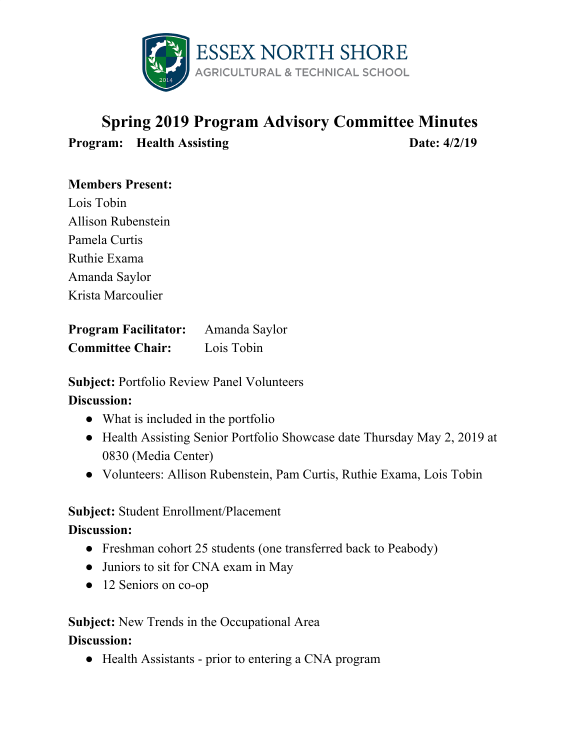

# **Spring 2019 Program Advisory Committee Minutes Program: Health Assisting Date:**  $4/2/19$

## **Members Present:**

Lois Tobin Allison Rubenstein Pamela Curtis Ruthie Exama Amanda Saylor Krista Marcoulier

**Program Facilitator:** Amanda Saylor **Committee Chair:** Lois Tobin

**Subject:** Portfolio Review Panel Volunteers **Discussion:**

- What is included in the portfolio
- Health Assisting Senior Portfolio Showcase date Thursday May 2, 2019 at 0830 (Media Center)
- Volunteers: Allison Rubenstein, Pam Curtis, Ruthie Exama, Lois Tobin

#### **Subject:** Student Enrollment/Placement

**Discussion:**

- Freshman cohort 25 students (one transferred back to Peabody)
- Juniors to sit for CNA exam in May
- 12 Seniors on co-op

## **Subject:** New Trends in the Occupational Area

#### **Discussion:**

● Health Assistants - prior to entering a CNA program